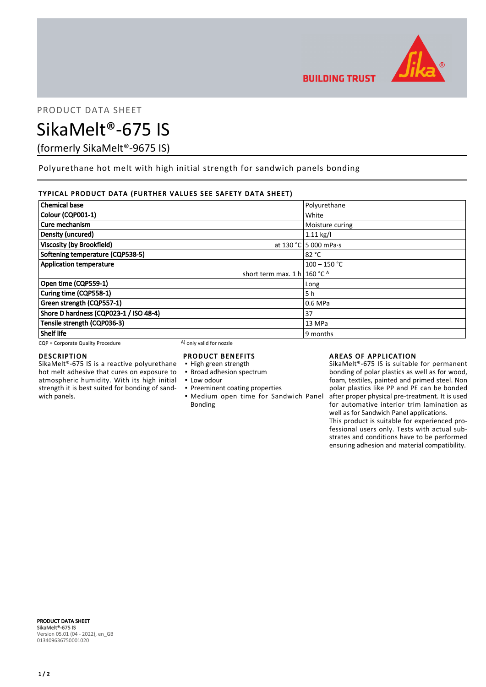

PRODUCT DATA SHEET

# SikaMelt®-675 IS

(formerly SikaMelt®-9675 IS)

Polyurethane hot melt with high initial strength for sandwich panels bonding

## TYPICAL PRODUCT DATA (FURTHER VALUES SEE SAFETY DATA SHEET)

| <b>Chemical base</b>                    | Polyurethane          |
|-----------------------------------------|-----------------------|
| Colour (CQP001-1)                       | White                 |
| Cure mechanism                          | Moisture curing       |
| Density (uncured)                       | $1.11$ kg/l           |
| <b>Viscosity (by Brookfield)</b>        | at 130 °C 5 000 mPa·s |
| Softening temperature (CQP538-5)        | 82 °C                 |
| <b>Application temperature</b>          | $100 - 150$ °C        |
| short term max. 1 h   160 °C $^{\circ}$ |                       |
| Open time (CQP559-1)                    | Long                  |
| Curing time (CQP558-1)                  | 5 h                   |
| Green strength (CQP557-1)               | 0.6 MPa               |
| Shore D hardness (CQP023-1 / ISO 48-4)  | 37                    |
| Tensile strength (CQP036-3)             | 13 MPa                |
| <b>Shelf life</b>                       | 9 months              |

 $CQP =$  Corporate Quality Procedure  $(A)$  only valid for nozzle

## DESCRIPTION

SikaMelt®-675 IS is a reactive polyurethane hot melt adhesive that cures on exposure to atmospheric humidity. With its high initial strength it is best suited for bonding of sandwich panels.

## PRODUCT BENEFITS

- High green strength
- **· Broad adhesion spectrum**
- Low odour
- **Preeminent coating properties**
- **Medium open time for Sandwich Panel** Bonding

## AREAS OF APPLICATION

SikaMelt®-675 IS is suitable for permanent bonding of polar plastics as well as for wood, foam, textiles, painted and primed steel. Non polar plastics like PP and PE can be bonded after proper physical pre-treatment. It is used for automative interior trim lamination as well as for Sandwich Panel applications.

This product is suitable for experienced professional users only. Tests with actual substrates and conditions have to be performed ensuring adhesion and material compatibility.